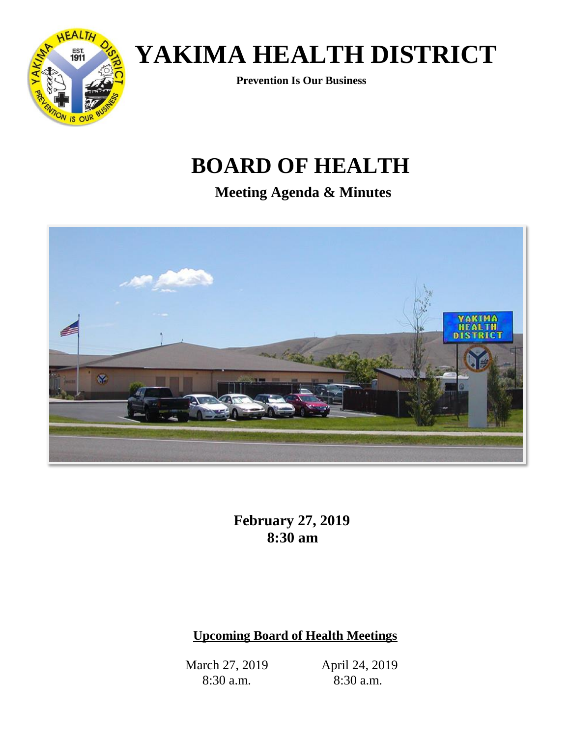

# *<b>EST* YAKIMA HEALTH DISTRICT

 **Prevention Is Our Business**

### **BOARD OF HEALTH**

**Meeting Agenda & Minutes**



 **February 27, 2019 8:30 am**

### **Upcoming Board of Health Meetings**

March 27, 2019 8:30 a.m.

April 24, 2019 8:30 a.m.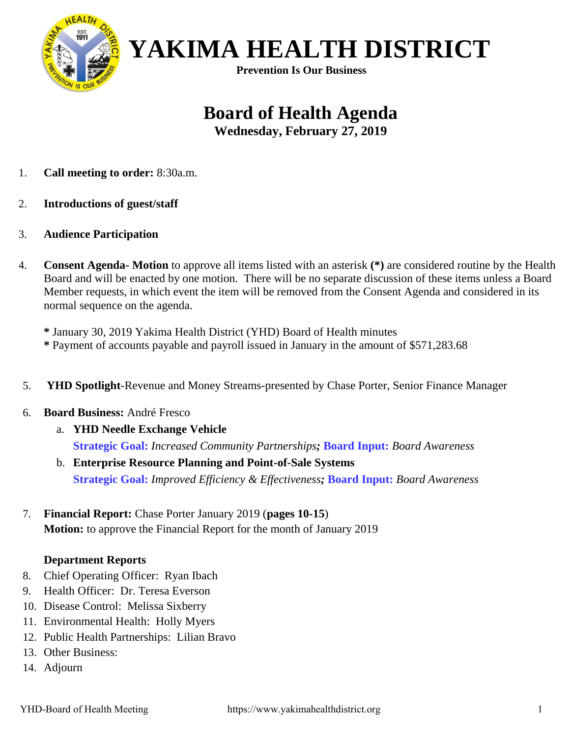

 **Prevention Is Our Business**

### **Board of Health Agenda**

**Wednesday, February 27, 2019**

- 1. **Call meeting to order:** 8:30a.m.
- 2. **Introductions of guest/staff**
- 3. **Audience Participation**
- 4. **Consent Agenda- Motion** to approve all items listed with an asterisk **(\*)** are considered routine by the Health Board and will be enacted by one motion. There will be no separate discussion of these items unless a Board Member requests, in which event the item will be removed from the Consent Agenda and considered in its normal sequence on the agenda.

**\*** January 30, 2019 Yakima Health District (YHD) Board of Health minutes **\*** Payment of accounts payable and payroll issued in January in the amount of \$571,283.68

- 5. **YHD Spotlight**-Revenue and Money Streams-presented by Chase Porter, Senior Finance Manager
- 6. **Board Business:** André Fresco
	- a. **YHD Needle Exchange Vehicle Strategic Goal:** *Increased Community Partnerships;* **Board Input:** *Board Awareness*
	- b. **Enterprise Resource Planning and Point-of-Sale Systems Strategic Goal:** *Improved Efficiency & Effectiveness;* **Board Input:** *Board Awareness*
- 7. **Financial Report:** Chase Porter January 2019 (**pages 10-15**) **Motion:** to approve the Financial Report for the month of January 2019

#### **Department Reports**

- 8. Chief Operating Officer: Ryan Ibach
- 9. Health Officer: Dr. Teresa Everson
- 10. Disease Control: Melissa Sixberry
- 11. Environmental Health: Holly Myers
- 12. Public Health Partnerships: Lilian Bravo
- 13. Other Business:
- 14. Adjourn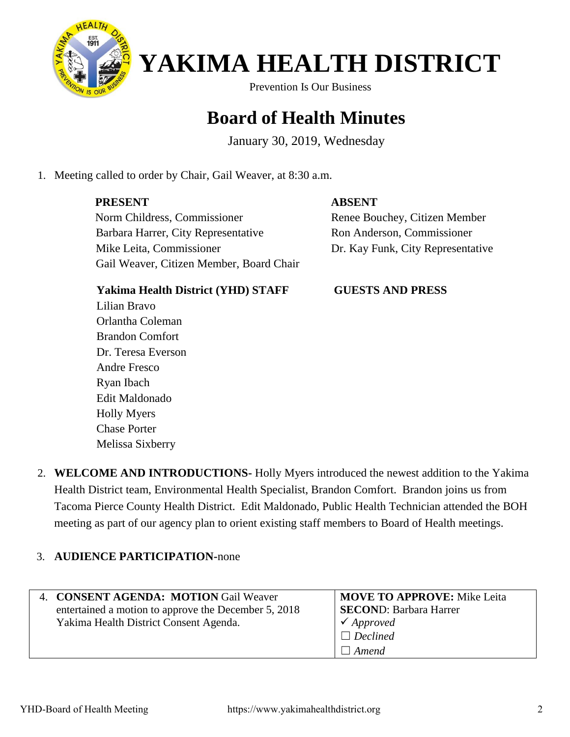

**Prevention Is Our Business** 

### **Board of Health Minutes**

January 30, 2019, Wednesday

1. Meeting called to order by Chair, Gail Weaver, at 8:30 a.m.

### **PRESENT**

#### **ABSENT**

 Norm Childress, Commissioner Barbara Harrer, City Representative Mike Leita, Commissioner Gail Weaver, Citizen Member, Board Chair  Renee Bouchey, Citizen Member Ron Anderson, Commissioner Dr. Kay Funk, City Representative

### **Yakima Health District (YHD) STAFF**

Lilian Bravo Orlantha Coleman Brandon Comfort Dr. Teresa Everson Andre Fresco Ryan Ibach Edit Maldonado Holly Myers Chase Porter Melissa Sixberry

#### **GUESTS AND PRESS**

2. **WELCOME AND INTRODUCTIONS-** Holly Myers introduced the newest addition to the Yakima Health District team, Environmental Health Specialist, Brandon Comfort. Brandon joins us from Tacoma Pierce County Health District. Edit Maldonado, Public Health Technician attended the BOH meeting as part of our agency plan to orient existing staff members to Board of Health meetings.

#### 3. **AUDIENCE PARTICIPATION-**none

| 4. CONSENT AGENDA: MOTION Gail Weaver                | <b>MOVE TO APPROVE:</b> Mike Leita |
|------------------------------------------------------|------------------------------------|
| entertained a motion to approve the December 5, 2018 | <b>SECOND: Barbara Harrer</b>      |
| Yakima Health District Consent Agenda.               | $\checkmark$ Approved              |
|                                                      | $\Box$ Declined                    |
|                                                      | Amend                              |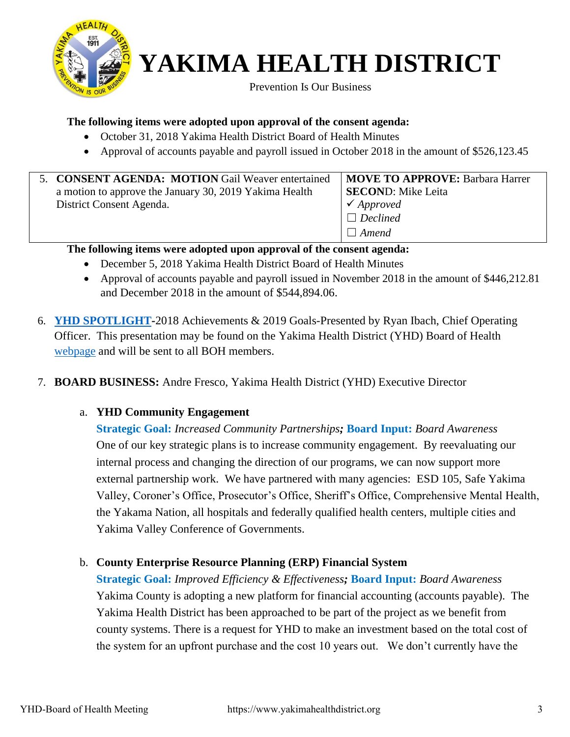

**Prevention Is Our Business** 

#### **The following items were adopted upon approval of the consent agenda:**

- October 31, 2018 Yakima Health District Board of Health Minutes
- Approval of accounts payable and payroll issued in October 2018 in the amount of \$526,123.45

| 5. CONSENT AGENDA: MOTION Gail Weaver entertained      | MOVE TO APPROVE: Barbara Harrer |
|--------------------------------------------------------|---------------------------------|
| a motion to approve the January 30, 2019 Yakima Health | <b>SECOND:</b> Mike Leita       |
| District Consent Agenda.                               | $\checkmark$ Approved           |
|                                                        | $\Box$ Declined                 |
|                                                        | $\Box$ Amend                    |

#### **The following items were adopted upon approval of the consent agenda:**

- December 5, 2018 Yakima Health District Board of Health Minutes
- Approval of accounts payable and payroll issued in November 2018 in the amount of \$446,212.81 and December 2018 in the amount of \$544,894.06.
- 6. **[YHD SPOTLIGHT-](http://yakimacounty.us/DocumentCenter/View/19315/Spotlight-YHD-2018-Accomplishments-and-2019-Goals)**2018 Achievements & 2019 Goals-Presented by Ryan Ibach, Chief Operating Officer. This presentation may be found on the Yakima Health District (YHD) Board of Health [webpage](https://yakimacounty.us/1195/Board-of-Health) and will be sent to all BOH members.
- 7. **BOARD BUSINESS:** Andre Fresco, Yakima Health District (YHD) Executive Director

#### a. **YHD Community Engagement**

**Strategic Goal:** *Increased Community Partnerships;* **Board Input:** *Board Awareness* One of our key strategic plans is to increase community engagement. By reevaluating our internal process and changing the direction of our programs, we can now support more external partnership work. We have partnered with many agencies: ESD 105, Safe Yakima Valley, Coroner's Office, Prosecutor's Office, Sheriff's Office, Comprehensive Mental Health, the Yakama Nation, all hospitals and federally qualified health centers, multiple cities and Yakima Valley Conference of Governments.

#### b. **County Enterprise Resource Planning (ERP) Financial System**

**Strategic Goal:** *Improved Efficiency & Effectiveness;* **Board Input:** *Board Awareness* Yakima County is adopting a new platform for financial accounting (accounts payable). The Yakima Health District has been approached to be part of the project as we benefit from county systems. There is a request for YHD to make an investment based on the total cost of the system for an upfront purchase and the cost 10 years out. We don't currently have the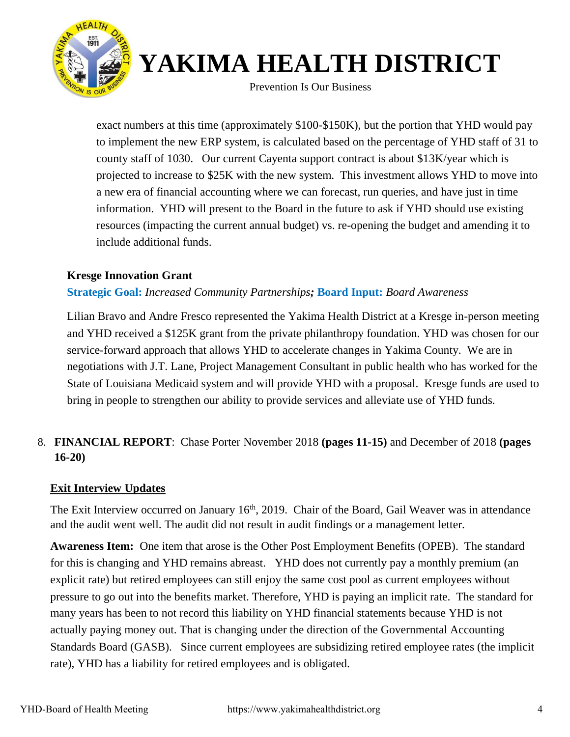

**Prevention Is Our Business** 

exact numbers at this time (approximately \$100-\$150K), but the portion that YHD would pay to implement the new ERP system, is calculated based on the percentage of YHD staff of 31 to county staff of 1030. Our current Cayenta support contract is about \$13K/year which is projected to increase to \$25K with the new system. This investment allows YHD to move into a new era of financial accounting where we can forecast, run queries, and have just in time information. YHD will present to the Board in the future to ask if YHD should use existing resources (impacting the current annual budget) vs. re-opening the budget and amending it to include additional funds.

#### **Kresge Innovation Grant**

#### **Strategic Goal:** *Increased Community Partnerships;* **Board Input:** *Board Awareness*

Lilian Bravo and Andre Fresco represented the Yakima Health District at a Kresge in-person meeting and YHD received a \$125K grant from the private philanthropy foundation. YHD was chosen for our service-forward approach that allows YHD to accelerate changes in Yakima County. We are in negotiations with J.T. Lane, Project Management Consultant in public health who has worked for the State of Louisiana Medicaid system and will provide YHD with a proposal. Kresge funds are used to bring in people to strengthen our ability to provide services and alleviate use of YHD funds.

### 8. **FINANCIAL REPORT**: Chase Porter November 2018 **(pages 11-15)** and December of 2018 **(pages 16-20)**

#### **Exit Interview Updates**

The Exit Interview occurred on January  $16<sup>th</sup>$ , 2019. Chair of the Board, Gail Weaver was in attendance and the audit went well. The audit did not result in audit findings or a management letter.

**Awareness Item:** One item that arose is the Other Post Employment Benefits (OPEB). The standard for this is changing and YHD remains abreast. YHD does not currently pay a monthly premium (an explicit rate) but retired employees can still enjoy the same cost pool as current employees without pressure to go out into the benefits market. Therefore, YHD is paying an implicit rate. The standard for many years has been to not record this liability on YHD financial statements because YHD is not actually paying money out. That is changing under the direction of the Governmental Accounting Standards Board (GASB). Since current employees are subsidizing retired employee rates (the implicit rate), YHD has a liability for retired employees and is obligated.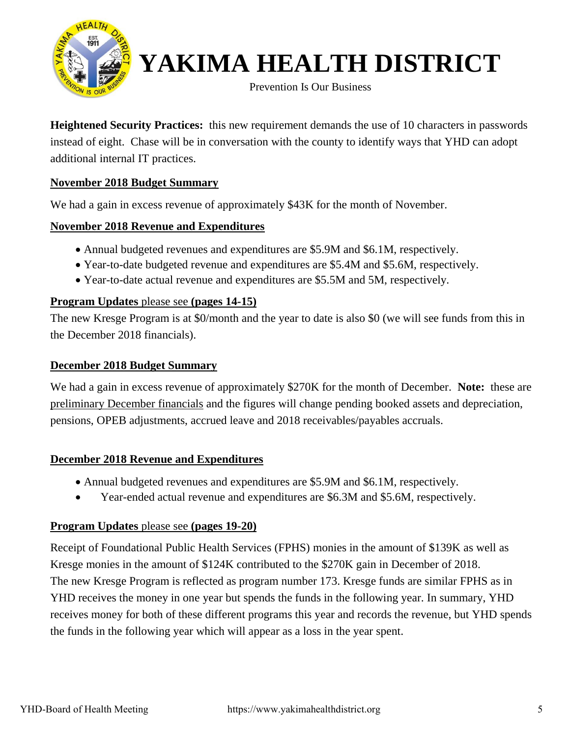

**Prevention Is Our Business** 

**Heightened Security Practices:** this new requirement demands the use of 10 characters in passwords instead of eight. Chase will be in conversation with the county to identify ways that YHD can adopt additional internal IT practices.

#### **November 2018 Budget Summary**

We had a gain in excess revenue of approximately \$43K for the month of November.

#### **November 2018 Revenue and Expenditures**

- Annual budgeted revenues and expenditures are \$5.9M and \$6.1M, respectively.
- Year-to-date budgeted revenue and expenditures are \$5.4M and \$5.6M, respectively.
- Year-to-date actual revenue and expenditures are \$5.5M and 5M, respectively.

#### **Program Updates** please see **(pages 14-15)**

The new Kresge Program is at \$0/month and the year to date is also \$0 (we will see funds from this in the December 2018 financials).

#### **December 2018 Budget Summary**

We had a gain in excess revenue of approximately \$270K for the month of December. **Note:** these are preliminary December financials and the figures will change pending booked assets and depreciation, pensions, OPEB adjustments, accrued leave and 2018 receivables/payables accruals.

#### **December 2018 Revenue and Expenditures**

- Annual budgeted revenues and expenditures are \$5.9M and \$6.1M, respectively.
- Year-ended actual revenue and expenditures are \$6.3M and \$5.6M, respectively.

#### **Program Updates** please see **(pages 19-20)**

Receipt of Foundational Public Health Services (FPHS) monies in the amount of \$139K as well as Kresge monies in the amount of \$124K contributed to the \$270K gain in December of 2018. The new Kresge Program is reflected as program number 173. Kresge funds are similar FPHS as in YHD receives the money in one year but spends the funds in the following year. In summary, YHD receives money for both of these different programs this year and records the revenue, but YHD spends the funds in the following year which will appear as a loss in the year spent.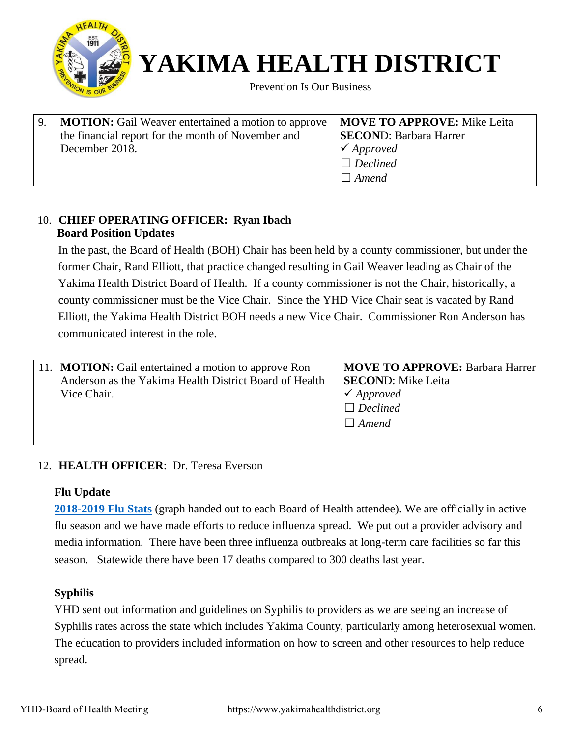

**Prevention Is Our Business** 

| 9. | <b>MOTION:</b> Gail Weaver entertained a motion to approve   <b>MOVE TO APPROVE:</b> Mike Leita |                               |
|----|-------------------------------------------------------------------------------------------------|-------------------------------|
|    | the financial report for the month of November and                                              | <b>SECOND: Barbara Harrer</b> |
|    | December 2018.                                                                                  | $\checkmark$ Approved         |
|    |                                                                                                 | $\Box$ Declined               |
|    |                                                                                                 | $\Box$ Amend                  |

#### 10. **CHIEF OPERATING OFFICER: Ryan Ibach Board Position Updates**

In the past, the Board of Health (BOH) Chair has been held by a county commissioner, but under the former Chair, Rand Elliott, that practice changed resulting in Gail Weaver leading as Chair of the Yakima Health District Board of Health. If a county commissioner is not the Chair, historically, a county commissioner must be the Vice Chair. Since the YHD Vice Chair seat is vacated by Rand Elliott, the Yakima Health District BOH needs a new Vice Chair. Commissioner Ron Anderson has communicated interest in the role.

| 11. <b>MOTION:</b> Gail entertained a motion to approve Ron | <b>MOVE TO APPROVE: Barbara Harrer</b> |
|-------------------------------------------------------------|----------------------------------------|
| Anderson as the Yakima Health District Board of Health      | <b>SECOND:</b> Mike Leita              |
| Vice Chair.                                                 | $\checkmark$ Approved                  |
|                                                             | $\Box$ Declined                        |
|                                                             | $\Box$ Amend                           |
|                                                             |                                        |

#### 12. **HEALTH OFFICER**: Dr. Teresa Everson

#### **Flu Update**

**[2018-2019 Flu Stats](http://yakimacounty.us/DocumentCenter/View/7244/Current-Statistics-PDF)** (graph handed out to each Board of Health attendee). We are officially in active flu season and we have made efforts to reduce influenza spread. We put out a provider advisory and media information. There have been three influenza outbreaks at long-term care facilities so far this season. Statewide there have been 17 deaths compared to 300 deaths last year.

#### **Syphilis**

YHD sent out information and guidelines on Syphilis to providers as we are seeing an increase of Syphilis rates across the state which includes Yakima County, particularly among heterosexual women. The education to providers included information on how to screen and other resources to help reduce spread.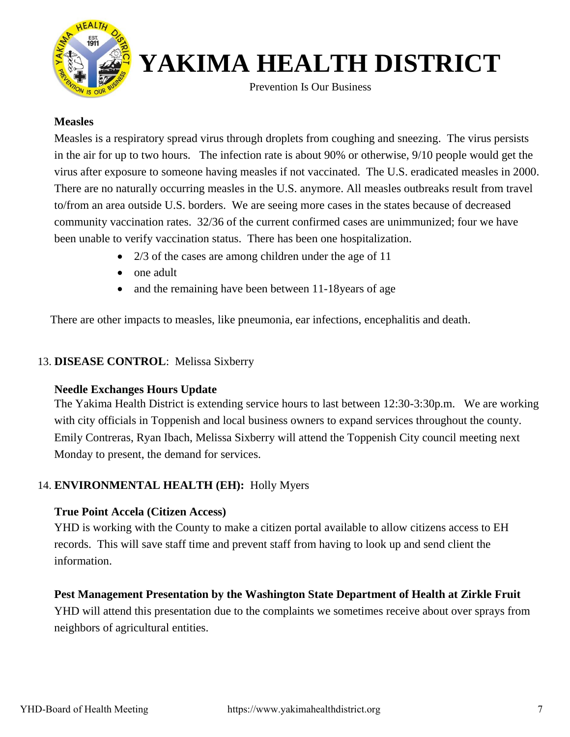

Prevention Is Our Business

#### **Measles**

Measles is a respiratory spread virus through droplets from coughing and sneezing. The virus persists in the air for up to two hours. The infection rate is about 90% or otherwise, 9/10 people would get the virus after exposure to someone having measles if not vaccinated. The U.S. eradicated measles in 2000. There are no naturally occurring measles in the U.S. anymore. All measles outbreaks result from travel to/from an area outside U.S. borders. We are seeing more cases in the states because of decreased community vaccination rates. 32/36 of the current confirmed cases are unimmunized; four we have been unable to verify vaccination status. There has been one hospitalization.

- 2/3 of the cases are among children under the age of 11
- one adult
- and the remaining have been between 11-18 years of age

There are other impacts to measles, like pneumonia, ear infections, encephalitis and death.

#### 13. **DISEASE CONTROL**: Melissa Sixberry

#### **Needle Exchanges Hours Update**

The Yakima Health District is extending service hours to last between 12:30-3:30p.m. We are working with city officials in Toppenish and local business owners to expand services throughout the county. Emily Contreras, Ryan Ibach, Melissa Sixberry will attend the Toppenish City council meeting next Monday to present, the demand for services.

#### 14. **ENVIRONMENTAL HEALTH (EH):** Holly Myers

#### **True Point Accela (Citizen Access)**

YHD is working with the County to make a citizen portal available to allow citizens access to EH records. This will save staff time and prevent staff from having to look up and send client the information.

#### **Pest Management Presentation by the Washington State Department of Health at Zirkle Fruit**

YHD will attend this presentation due to the complaints we sometimes receive about over sprays from neighbors of agricultural entities.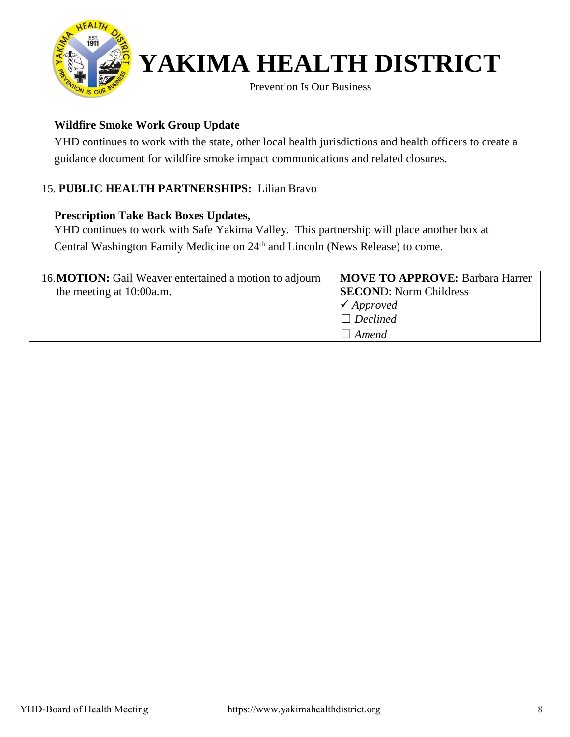

**Prevention Is Our Business** 

#### **Wildfire Smoke Work Group Update**

YHD continues to work with the state, other local health jurisdictions and health officers to create a guidance document for wildfire smoke impact communications and related closures.

### 15. **PUBLIC HEALTH PARTNERSHIPS:** Lilian Bravo

#### **Prescription Take Back Boxes Updates,**

YHD continues to work with Safe Yakima Valley. This partnership will place another box at Central Washington Family Medicine on 24<sup>th</sup> and Lincoln (News Release) to come.

| 16. MOTION: Gail Weaver entertained a motion to adjourn<br>the meeting at 10:00a.m. | <b>MOVE TO APPROVE: Barbara Harrer</b><br><b>SECOND:</b> Norm Childress<br>$\checkmark$ Approved<br>$\Box$ Declined<br>  Amend |
|-------------------------------------------------------------------------------------|--------------------------------------------------------------------------------------------------------------------------------|
|-------------------------------------------------------------------------------------|--------------------------------------------------------------------------------------------------------------------------------|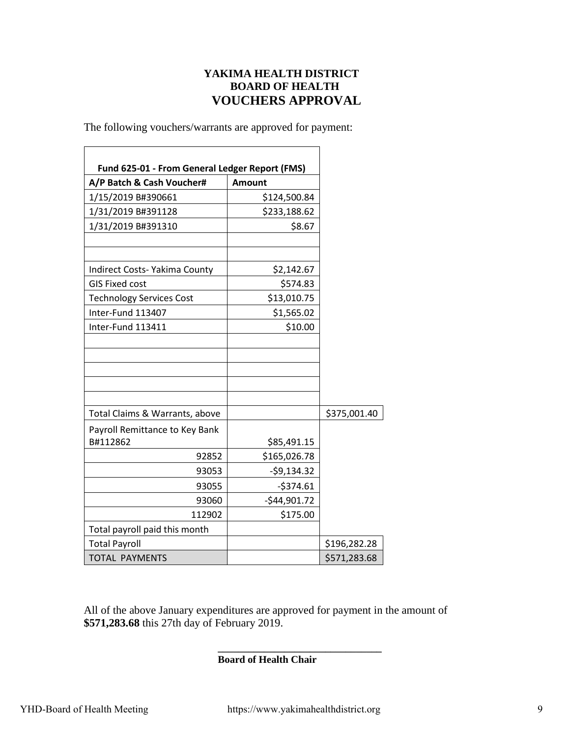#### **YAKIMA HEALTH DISTRICT BOARD OF HEALTH VOUCHERS APPROVAL**

The following vouchers/warrants are approved for payment:

| Fund 625-01 - From General Ledger Report (FMS) |               |              |
|------------------------------------------------|---------------|--------------|
| A/P Batch & Cash Voucher#                      | <b>Amount</b> |              |
| 1/15/2019 B#390661                             | \$124,500.84  |              |
| 1/31/2019 B#391128                             | \$233,188.62  |              |
| 1/31/2019 B#391310                             | \$8.67        |              |
|                                                |               |              |
| Indirect Costs- Yakima County                  | \$2,142.67    |              |
| <b>GIS Fixed cost</b>                          | \$574.83      |              |
| <b>Technology Services Cost</b>                | \$13,010.75   |              |
| Inter-Fund 113407                              | \$1,565.02    |              |
| Inter-Fund 113411                              | \$10.00       |              |
|                                                |               |              |
|                                                |               |              |
|                                                |               |              |
|                                                |               |              |
| Total Claims & Warrants, above                 |               | \$375,001.40 |
| Payroll Remittance to Key Bank                 |               |              |
| B#112862                                       | \$85,491.15   |              |
| 92852                                          | \$165,026.78  |              |
| 93053                                          | $-59,134.32$  |              |
| 93055                                          | $-5374.61$    |              |
| 93060                                          | $-$44,901.72$ |              |
| 112902                                         | \$175.00      |              |
| Total payroll paid this month                  |               |              |
| <b>Total Payroll</b>                           |               | \$196,282.28 |
| <b>TOTAL PAYMENTS</b>                          |               | \$571,283.68 |

All of the above January expenditures are approved for payment in the amount of **\$571,283.68** this 27th day of February 2019.

**Board of Health Chair** 

**\_\_\_\_\_\_\_\_\_\_\_\_\_\_\_\_\_\_\_\_\_\_\_\_\_\_\_\_\_\_\_\_**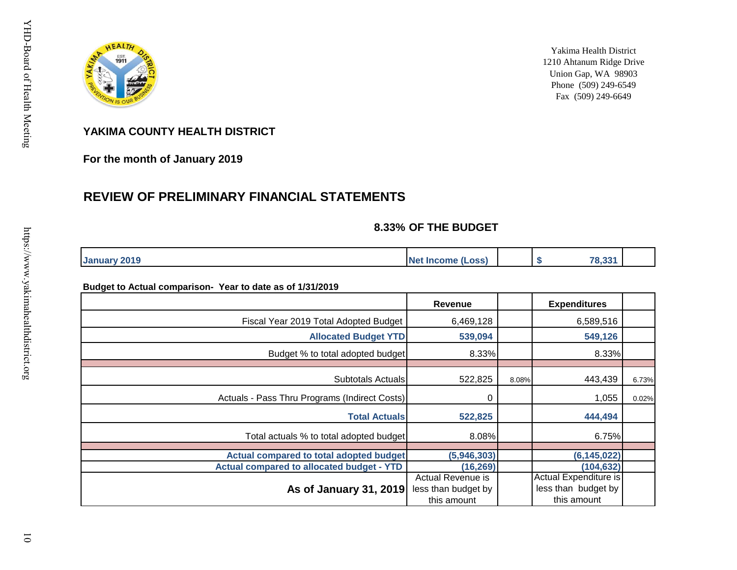

Yakima Health District 1210 Ahtanum Ridge Drive Union Gap, WA 98903 Phone (509) 249-6549 Fax (509) 249-6649

#### **YAKIMA COUNTY HEALTH DISTRICT**

**For the month of January 2019**

#### **REVIEW OF PRELIMINARY FINANCIAL STATEMENTS**

#### **8.33% OF THE BUDGET**

| 2019<br>Janu | <b>Net</b><br>.ossl<br>.<br><b>income</b> |  | $\overline{\phantom{a}}$<br>ാച<br>ര.ാാ |  |
|--------------|-------------------------------------------|--|----------------------------------------|--|

#### **Budget to Actual comparison- Year to date as of 1/31/2019**

|                                                  | Revenue                                                 |       | <b>Expenditures</b>                                         |       |
|--------------------------------------------------|---------------------------------------------------------|-------|-------------------------------------------------------------|-------|
| Fiscal Year 2019 Total Adopted Budget            | 6,469,128                                               |       | 6,589,516                                                   |       |
| <b>Allocated Budget YTD</b>                      | 539,094                                                 |       | 549,126                                                     |       |
| Budget % to total adopted budget                 | 8.33%                                                   |       | 8.33%                                                       |       |
| <b>Subtotals Actuals</b>                         | 522,825                                                 | 8.08% | 443,439                                                     | 6.73% |
| Actuals - Pass Thru Programs (Indirect Costs)    | 0                                                       |       | 1,055                                                       | 0.02% |
| <b>Total Actuals</b>                             | 522,825                                                 |       | 444,494                                                     |       |
| Total actuals % to total adopted budget          | 8.08%                                                   |       | 6.75%                                                       |       |
| Actual compared to total adopted budget          | (5,946,303)                                             |       | (6, 145, 022)                                               |       |
| <b>Actual compared to allocated budget - YTD</b> | (16, 269)                                               |       | (104, 632)                                                  |       |
| As of January 31, 2019                           | Actual Revenue is<br>less than budget by<br>this amount |       | Actual Expenditure is<br>less than budget by<br>this amount |       |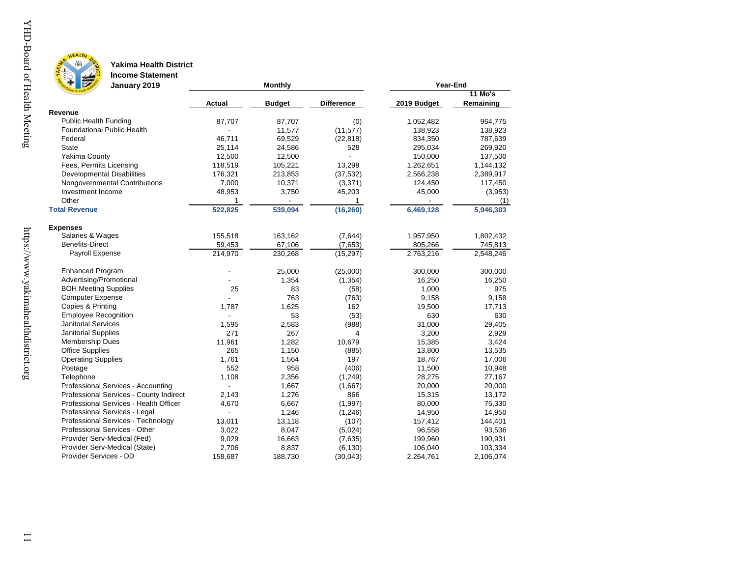

**EST.**<br>1911

### **Yakima Health District**

**Income Statement**

| Ø<br>January 2019                       |                | <b>Monthly</b> | Year-End          |             |                |  |
|-----------------------------------------|----------------|----------------|-------------------|-------------|----------------|--|
|                                         |                |                |                   |             | <b>11 Mo's</b> |  |
|                                         | Actual         | <b>Budget</b>  | <b>Difference</b> | 2019 Budget | Remaining      |  |
| Revenue                                 |                |                |                   |             |                |  |
| <b>Public Health Funding</b>            | 87,707         | 87,707         | (0)               | 1,052,482   | 964,775        |  |
| <b>Foundational Public Health</b>       |                | 11,577         | (11, 577)         | 138,923     | 138,923        |  |
| Federal                                 | 46,711         | 69,529         | (22, 818)         | 834,350     | 787,639        |  |
| <b>State</b>                            | 25,114         | 24,586         | 528               | 295,034     | 269,920        |  |
| Yakima County                           | 12,500         | 12,500         |                   | 150,000     | 137,500        |  |
| Fees, Permits Licensing                 | 118,519        | 105,221        | 13,298            | 1,262,651   | 1,144,132      |  |
| <b>Developmental Disabilities</b>       | 176,321        | 213,853        | (37, 532)         | 2,566,238   | 2,389,917      |  |
| Nongovernmental Contributions           | 7,000          | 10,371         | (3,371)           | 124,450     | 117,450        |  |
| Investment Income                       | 48,953         | 3,750          | 45,203            | 45,000      | (3,953)        |  |
| Other                                   | 1              |                |                   |             | (1)            |  |
| <b>Total Revenue</b>                    | 522,825        | 539,094        | (16, 269)         | 6,469,128   | 5,946,303      |  |
| <b>Expenses</b>                         |                |                |                   |             |                |  |
| Salaries & Wages                        | 155,518        | 163,162        | (7,644)           | 1,957,950   | 1,802,432      |  |
| <b>Benefits-Direct</b>                  | 59,453         | 67,106         | (7,653)           | 805,266     | 745,813        |  |
| Payroll Expense                         | 214,970        | 230,268        | (15, 297)         | 2,763,216   | 2,548,246      |  |
| <b>Enhanced Program</b>                 |                | 25,000         | (25,000)          | 300,000     | 300,000        |  |
| Advertising/Promotional                 |                | 1,354          | (1, 354)          | 16,250      | 16,250         |  |
| <b>BOH Meeting Supplies</b>             | 25             | 83             | (58)              | 1,000       | 975            |  |
| <b>Computer Expense</b>                 |                | 763            | (763)             | 9,158       | 9,158          |  |
| Copies & Printing                       | 1,787          | 1,625          | 162               | 19,500      | 17,713         |  |
| <b>Employee Recognition</b>             |                | 53             | (53)              | 630         | 630            |  |
| <b>Janitorial Services</b>              | 1,595          | 2,583          | (988)             | 31,000      | 29,405         |  |
| <b>Janitorial Supplies</b>              | 271            | 267            | 4                 | 3,200       | 2,929          |  |
| Membership Dues                         | 11,961         | 1,282          | 10,679            | 15,385      | 3,424          |  |
| <b>Office Supplies</b>                  | 265            | 1,150          | (885)             | 13,800      | 13,535         |  |
| <b>Operating Supplies</b>               | 1,761          | 1,564          | 197               | 18,767      | 17,006         |  |
| Postage                                 | 552            | 958            | (406)             | 11,500      | 10,948         |  |
| Telephone                               | 1,108          | 2,356          | (1, 249)          | 28,275      | 27,167         |  |
| Professional Services - Accounting      | $\overline{a}$ | 1,667          | (1,667)           | 20,000      | 20,000         |  |
| Professional Services - County Indirect | 2,143          | 1,276          | 866               | 15,315      | 13,172         |  |
| Professional Services - Health Officer  | 4,670          | 6,667          | (1,997)           | 80,000      | 75,330         |  |
| Professional Services - Legal           |                | 1,246          | (1, 246)          | 14,950      | 14,950         |  |
| Professional Services - Technology      | 13,011         | 13,118         | (107)             | 157,412     | 144,401        |  |
| Professional Services - Other           | 3,022          | 8,047          | (5,024)           | 96,558      | 93,536         |  |
| Provider Serv-Medical (Fed)             | 9,029          | 16,663         | (7,635)           | 199,960     | 190,931        |  |
| Provider Serv-Medical (State)           | 2,706          | 8,837          | (6, 130)          | 106,040     | 103,334        |  |
| Provider Services - DD                  | 158,687        | 188,730        | (30,043)          | 2,264,761   | 2,106,074      |  |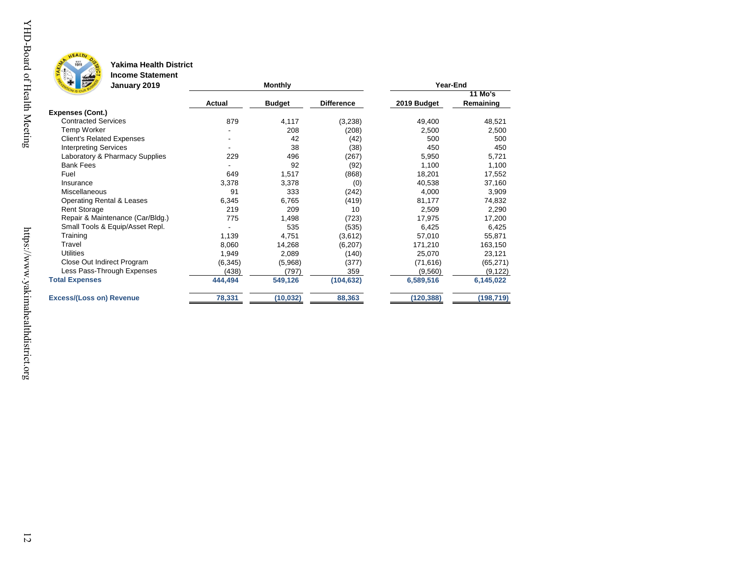

YHD-Board of Health Meeting

#### **Yakima Health District**

**Income Statement**

| <b>REAL PROPERTY</b><br>January 2019 |          | <b>Monthly</b> | Year-End          |             |                      |
|--------------------------------------|----------|----------------|-------------------|-------------|----------------------|
|                                      | Actual   | <b>Budget</b>  | <b>Difference</b> | 2019 Budget | 11 Mo's<br>Remaining |
| <b>Expenses (Cont.)</b>              |          |                |                   |             |                      |
| <b>Contracted Services</b>           | 879      | 4,117          | (3,238)           | 49,400      | 48,521               |
| Temp Worker                          |          | 208            | (208)             | 2,500       | 2,500                |
| <b>Client's Related Expenses</b>     |          | 42             | (42)              | 500         | 500                  |
| <b>Interpreting Services</b>         |          | 38             | (38)              | 450         | 450                  |
| Laboratory & Pharmacy Supplies       | 229      | 496            | (267)             | 5,950       | 5,721                |
| <b>Bank Fees</b>                     |          | 92             | (92)              | 1,100       | 1,100                |
| Fuel                                 | 649      | 1,517          | (868)             | 18,201      | 17,552               |
| Insurance                            | 3,378    | 3,378          | (0)               | 40,538      | 37,160               |
| Miscellaneous                        | 91       | 333            | (242)             | 4,000       | 3,909                |
| <b>Operating Rental &amp; Leases</b> | 6,345    | 6,765          | (419)             | 81,177      | 74,832               |
| <b>Rent Storage</b>                  | 219      | 209            | 10                | 2,509       | 2,290                |
| Repair & Maintenance (Car/Bldg.)     | 775      | 1,498          | (723)             | 17,975      | 17,200               |
| Small Tools & Equip/Asset Repl.      |          | 535            | (535)             | 6,425       | 6,425                |
| Training                             | 1,139    | 4,751          | (3,612)           | 57,010      | 55,871               |
| Travel                               | 8,060    | 14,268         | (6,207)           | 171,210     | 163,150              |
| <b>Utilities</b>                     | 1,949    | 2,089          | (140)             | 25,070      | 23,121               |
| Close Out Indirect Program           | (6, 345) | (5,968)        | (377)             | (71, 616)   | (65, 271)            |
| Less Pass-Through Expenses           | (438)    | (797)          | 359               | (9,560)     | (9, 122)             |
| <b>Total Expenses</b>                | 444,494  | 549,126        | (104, 632)        | 6,589,516   | 6,145,022            |
| <b>Excess/(Loss on) Revenue</b>      | 78,331   | (10, 032)      | 88,363            | (120, 388)  | (198, 719)           |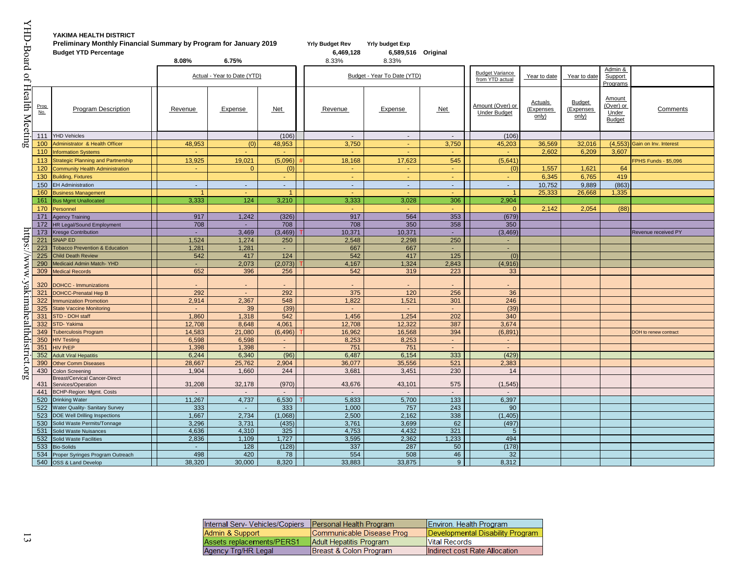| YHD-Board of                  |             | YAKIMA HEALTH DISTRICT<br>Preliminary Monthly Financial Summary by Program for January 2019<br><b>Budget YTD Percentage</b> |                 |                 |                                      | <b>Yrly Budget Rev</b><br>6,469,128 | <b>Yrly budget Exp</b><br>6,589,516 Original |               |                                         |                                |                                     |                                               |                             |
|-------------------------------|-------------|-----------------------------------------------------------------------------------------------------------------------------|-----------------|-----------------|--------------------------------------|-------------------------------------|----------------------------------------------|---------------|-----------------------------------------|--------------------------------|-------------------------------------|-----------------------------------------------|-----------------------------|
|                               |             | 8.08%<br>6.75%<br>Actual - Year to Date (YTD)                                                                               |                 | 8.33%           | 8.33%<br>Budget - Year To Date (YTD) |                                     | <b>Budget Variance</b><br>from YTD actual    | Year to date  | Year to date                            | Admin &<br>Support<br>Programs |                                     |                                               |                             |
| <b>Health Meeting</b>         | Prog<br>No. | <b>Program Description</b>                                                                                                  | Revenue         | Expense         | Net                                  | Revenue                             | Expense                                      | Net           | Amount (Over) or<br><b>Under Budget</b> | Actuals<br>(Expenses<br>only)  | <b>Budget</b><br>(Expenses<br>only) | Amount<br>(Over) or<br>Under<br><b>Budget</b> | Comments                    |
|                               | 111         | <b>YHD Vehicles</b>                                                                                                         |                 |                 | (106)                                | $\sim$                              | $\sim$                                       | $\sim$        | (106)                                   |                                |                                     |                                               |                             |
|                               | 100         | Administrator & Health Officer                                                                                              | 48,953          | (0)             | 48,953                               | 3,750                               | $\blacksquare$                               | 3,750         | 45,203                                  | 36,569                         | 32,016                              | (4, 553)                                      | Gain on Inv. Interest       |
|                               | 110         | <b>Information Systems</b>                                                                                                  |                 | ÷.              | ÷                                    |                                     |                                              |               |                                         | 2,602                          | 6,209                               | 3,607                                         |                             |
|                               | 113         | <b>Strategic Planning and Partnership</b>                                                                                   | 13,925          | 19,021          | (5,096)                              | 18,168                              | 17,623                                       | 545           | (5,641)                                 |                                |                                     |                                               | <b>FPHS Funds - \$5,096</b> |
|                               | 120         | <b>Community Health Administration</b>                                                                                      | ч.              | $\Omega$        | (0)                                  | $\sim$                              | $\sim$                                       | ÷.            | (0)                                     | 1,557                          | 1,621                               | 64                                            |                             |
|                               | 130         | <b>Building, Fixtures</b>                                                                                                   |                 |                 | $\blacksquare$                       | $\sim$                              | ч.                                           | ×.            | $\sim$                                  | 6,345                          | 6,765                               | 419                                           |                             |
|                               | 150         | <b>EH Administration</b>                                                                                                    | $\sim$          | $\sim$          | $\sim$                               | $\sim$                              | $\sim$                                       | $\omega$      | $\sim$                                  | 10,752                         | 9,889                               | (863)                                         |                             |
|                               | 160         | <b>Business Management</b>                                                                                                  | $\overline{1}$  | ÷.              | $\mathbf{1}$                         |                                     |                                              | $\sim$        | $\blacktriangleleft$                    | 25,333                         | 26,668                              | 1,335                                         |                             |
|                               | 161         | <b>Bus Mgmt Unallocated</b>                                                                                                 | 3,333           | 124             | 3,210                                | 3,333                               | 3,028                                        | 306           | 2,904                                   |                                |                                     |                                               |                             |
|                               | 170         | Personnel                                                                                                                   |                 |                 |                                      |                                     |                                              |               | $\Omega$                                | 2,142                          | 2,054                               | (88)                                          |                             |
|                               | 171         | <b>Agency Training</b>                                                                                                      | 917             | 1,242           | (326)                                | 917                                 | 564                                          | 353           | (679)                                   |                                |                                     |                                               |                             |
|                               | 172         | HR Legal/Sound Employment                                                                                                   | 708             | $\sim$          | 708                                  | 708                                 | 350                                          | 358           | 350                                     |                                |                                     |                                               |                             |
|                               | 173         | <b>Kresge Contribution</b>                                                                                                  |                 | 3,469           | (3, 469)                             | 10,371                              | 10,371                                       |               | (3, 469)                                |                                |                                     |                                               | Revenue received PY         |
| ntps                          | 221         | <b>SNAP ED</b>                                                                                                              | 1,524           | 1,274           | 250                                  | 2,548                               | 2,298                                        | 250           | ÷.                                      |                                |                                     |                                               |                             |
|                               | 223         | <b>Tobacco Prevention &amp; Education</b>                                                                                   | 1,281           | 1,281           | $\sim$                               | 667                                 | 667                                          | $\sim$        | $\sim$                                  |                                |                                     |                                               |                             |
|                               | 225         | <b>Child Death Review</b>                                                                                                   | 542             | 417             | 124                                  | 542                                 | 417                                          | 125           | (0)                                     |                                |                                     |                                               |                             |
|                               | 290         | Medicaid Admin Match- YHD                                                                                                   |                 | 2,073           | (2,073)                              | 4,167                               | 1,324                                        | 2,843         | (4,916)                                 |                                |                                     |                                               |                             |
|                               | 309         | <b>Medical Records</b>                                                                                                      | 652             | 396             | 256                                  | 542                                 | 319                                          | 223           | 33                                      |                                |                                     |                                               |                             |
|                               |             |                                                                                                                             |                 |                 |                                      |                                     |                                              |               |                                         |                                |                                     |                                               |                             |
|                               | 320         | <b>DOHCC - Immunizations</b>                                                                                                |                 | $\blacksquare$  |                                      |                                     |                                              |               |                                         |                                |                                     |                                               |                             |
|                               | 321         | <b>DOHCC-Prenatal Hep B</b>                                                                                                 | 292             |                 | 292                                  | 375                                 | 120                                          | 256           | 36                                      |                                |                                     |                                               |                             |
|                               | 322         | <b>Immunization Promotion</b>                                                                                               | 2.914           | 2,367           | 548                                  | 1.822                               | 1,521                                        | 301           | 246                                     |                                |                                     |                                               |                             |
|                               | 325         | <b>State Vaccine Monitoring</b>                                                                                             | $\sim$          | 39              | (39)                                 | <b>A</b>                            | $\sim$                                       | $\sim$        | (39)                                    |                                |                                     |                                               |                             |
|                               | 331         | <b>STD - DOH staff</b>                                                                                                      | 1.860           | 1.318           | 542                                  | 1.456                               | 1.254                                        | 202           | 340                                     |                                |                                     |                                               |                             |
|                               | 332         | STD-Yakima                                                                                                                  | 12,708          | 8,648           | 4,061                                | 12,708                              | 12,322                                       | 387           | 3,674                                   |                                |                                     |                                               |                             |
|                               | 349<br>350  | <b>Tuberculosis Program</b><br><b>HIV Testing</b>                                                                           | 14,583<br>6,598 | 21,080<br>6,598 | (6, 496)<br>$\sim$                   | 16,962<br>8,253                     | 16,568<br>8,253                              | 394<br>$\sim$ | (6, 891)<br>$\sim$                      |                                |                                     |                                               | DOH to renew contract       |
|                               | 351         | <b>HIV PrEP</b>                                                                                                             | 1,398           | 1,398           | $\sim$                               | 751                                 | 751                                          |               | $\sim$                                  |                                |                                     |                                               |                             |
| /www.yakimahealthdistrict.org | 352         | <b>Adult Viral Hepatitis</b>                                                                                                | 6,244           | 6,340           | (96)                                 | 6,487                               | 6,154                                        | 333           | (429)                                   |                                |                                     |                                               |                             |
|                               | 390         | <b>Other Comm Diseases</b>                                                                                                  | 28,667          | 25,762          | 2,904                                | 36,077                              | 35,556                                       | 521           | 2,383                                   |                                |                                     |                                               |                             |
|                               | 430         | Colon Screening                                                                                                             | 1,904           | 1,660           | 244                                  | 3,681                               | 3,451                                        | 230           | 14                                      |                                |                                     |                                               |                             |
|                               | 431         | <b>Breast/Cervical Cancer-Direct</b><br>Services/Operation                                                                  | 31,208          | 32,178          | (970)                                | 43,676                              | 43,101                                       | 575           | (1, 545)                                |                                |                                     |                                               |                             |
|                               | 441         | <b>BCHP-Region: Mgmt. Costs</b>                                                                                             | $\sim$          | $\sim$          | $\sim$                               | $\sim$                              | $\sim$                                       | $\sim$        | $\sim$                                  |                                |                                     |                                               |                             |
|                               | 520         | <b>Drinking Water</b>                                                                                                       | 11,267          | 4,737           | 6,530                                | 5,833                               | 5,700                                        | 133           | 6,397                                   |                                |                                     |                                               |                             |
|                               | 522         | Water Quality- Sanitary Survey                                                                                              | 333             | ÷.              | 333                                  | 1.000                               | 757                                          | 243           | 90                                      |                                |                                     |                                               |                             |
|                               | 523         | <b>DOE Well Drilling Inspections</b>                                                                                        | 1,667           | 2,734           | (1,068)                              | 2,500                               | 2,162                                        | 338           | (1, 405)                                |                                |                                     |                                               |                             |
|                               | 530         | Solid Waste Permits/Tonnage                                                                                                 | 3,296           | 3,731           | (435)                                | 3,761                               | 3,699                                        | 62            | (497)                                   |                                |                                     |                                               |                             |
|                               | 531         | Solid Waste Nuisances                                                                                                       | 4,636           | 4,310           | 325                                  | 4,753                               | 4,432                                        | 321           | $5\overline{)}$                         |                                |                                     |                                               |                             |
|                               | 532         | Solid Waste Facilities                                                                                                      | 2,836           | 1,109           | 1,727                                | 3,595                               | 2,362                                        | 1,233         | 494                                     |                                |                                     |                                               |                             |
|                               | 533         | <b>Bio-Solids</b>                                                                                                           |                 | 128             | (128)                                | 337                                 | 287                                          | 50            | (178)                                   |                                |                                     |                                               |                             |
|                               | 534         | Proper Syringes Program Outreach                                                                                            | 498             | 420             | 78                                   | 554                                 | 508                                          | 46            | 32                                      |                                |                                     |                                               |                             |
|                               |             | 540 OSS & Land Develop                                                                                                      | 38,320          | 30,000          | 8.320                                | 33,883                              | 33,875                                       | $9^{\circ}$   | 8.312                                   |                                |                                     |                                               |                             |

| Internal Serv- Vehicles/Copiers   Personal Health Program |                           | Environ. Health Program          |
|-----------------------------------------------------------|---------------------------|----------------------------------|
| Admin & Support                                           | Communicable Disease Prog | Developmental Disability Program |
| Assets replacements/PERS1                                 | Adult Hepatitis Program   | <b>Vital Records</b>             |
| Agency Trg/HR Legal                                       | Breast & Colon Program    | Indirect cost Rate Allocation    |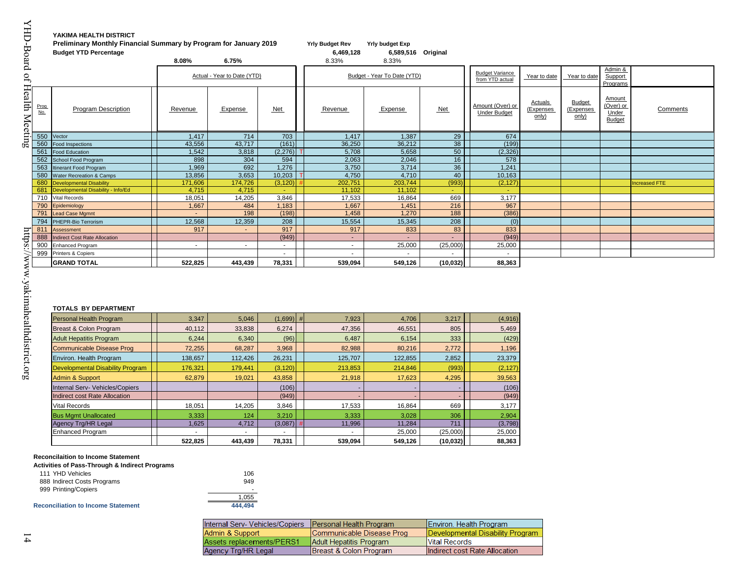### **Budget YTD Percentage 6,469,128 6,589,516 Original**

**Comments** 

| Program Description     |                                                                                                                                                                                                                                                                                                       | Actual - Year to Date (YTD)                                                              |                                                                                               |                                                                                      | Budget - Year To Date (YTD)                                                                                   |                                                                                                     | <b>Budget Variance</b><br>from YTD actual                             | Year to date                                                                                 | Year to date                        | Admin &<br>Support                                   |                      |
|-------------------------|-------------------------------------------------------------------------------------------------------------------------------------------------------------------------------------------------------------------------------------------------------------------------------------------------------|------------------------------------------------------------------------------------------|-----------------------------------------------------------------------------------------------|--------------------------------------------------------------------------------------|---------------------------------------------------------------------------------------------------------------|-----------------------------------------------------------------------------------------------------|-----------------------------------------------------------------------|----------------------------------------------------------------------------------------------|-------------------------------------|------------------------------------------------------|----------------------|
|                         |                                                                                                                                                                                                                                                                                                       |                                                                                          |                                                                                               |                                                                                      |                                                                                                               |                                                                                                     |                                                                       |                                                                                              |                                     | Programs                                             |                      |
|                         | Revenue                                                                                                                                                                                                                                                                                               | Expense                                                                                  | Net                                                                                           | Revenue                                                                              | Expense                                                                                                       | Net                                                                                                 | Amount (Over) or<br><b>Under Budget</b>                               | Actuals<br>(Expenses<br>only)                                                                | <b>Budget</b><br>(Expenses<br>only) | Amount<br>(Over) or<br><b>Under</b><br><b>Budget</b> | Co                   |
|                         | 1,417                                                                                                                                                                                                                                                                                                 | 714                                                                                      | 703                                                                                           | 1,417                                                                                | 1.387                                                                                                         | 29                                                                                                  | 674                                                                   |                                                                                              |                                     |                                                      |                      |
| <b>Food Inspections</b> | 43.556                                                                                                                                                                                                                                                                                                | 43,717                                                                                   | (161)                                                                                         | 36,250                                                                               | 36.212                                                                                                        | 38                                                                                                  | (199)                                                                 |                                                                                              |                                     |                                                      |                      |
| <b>Food Education</b>   | 1,542                                                                                                                                                                                                                                                                                                 | 3,818                                                                                    | (2, 276)                                                                                      | 5,708                                                                                | 5,658                                                                                                         | 50                                                                                                  | (2, 326)                                                              |                                                                                              |                                     |                                                      |                      |
| School Food Program     |                                                                                                                                                                                                                                                                                                       |                                                                                          |                                                                                               |                                                                                      |                                                                                                               |                                                                                                     |                                                                       |                                                                                              |                                     |                                                      |                      |
| tinerant Food Program   |                                                                                                                                                                                                                                                                                                       |                                                                                          |                                                                                               |                                                                                      |                                                                                                               |                                                                                                     |                                                                       |                                                                                              |                                     |                                                      |                      |
|                         |                                                                                                                                                                                                                                                                                                       |                                                                                          |                                                                                               |                                                                                      |                                                                                                               |                                                                                                     |                                                                       |                                                                                              |                                     |                                                      |                      |
|                         |                                                                                                                                                                                                                                                                                                       |                                                                                          |                                                                                               |                                                                                      |                                                                                                               |                                                                                                     |                                                                       |                                                                                              |                                     |                                                      | <b>Increased FTE</b> |
|                         |                                                                                                                                                                                                                                                                                                       |                                                                                          |                                                                                               |                                                                                      |                                                                                                               |                                                                                                     |                                                                       |                                                                                              |                                     |                                                      |                      |
|                         |                                                                                                                                                                                                                                                                                                       |                                                                                          |                                                                                               |                                                                                      |                                                                                                               |                                                                                                     |                                                                       |                                                                                              |                                     |                                                      |                      |
|                         |                                                                                                                                                                                                                                                                                                       |                                                                                          |                                                                                               |                                                                                      |                                                                                                               |                                                                                                     |                                                                       |                                                                                              |                                     |                                                      |                      |
|                         |                                                                                                                                                                                                                                                                                                       |                                                                                          |                                                                                               |                                                                                      |                                                                                                               |                                                                                                     |                                                                       |                                                                                              |                                     |                                                      |                      |
|                         |                                                                                                                                                                                                                                                                                                       |                                                                                          |                                                                                               |                                                                                      |                                                                                                               |                                                                                                     |                                                                       |                                                                                              |                                     |                                                      |                      |
|                         |                                                                                                                                                                                                                                                                                                       |                                                                                          |                                                                                               |                                                                                      |                                                                                                               |                                                                                                     |                                                                       |                                                                                              |                                     |                                                      |                      |
|                         | $\sim$                                                                                                                                                                                                                                                                                                |                                                                                          | $\sim$                                                                                        |                                                                                      |                                                                                                               |                                                                                                     |                                                                       |                                                                                              |                                     |                                                      |                      |
|                         |                                                                                                                                                                                                                                                                                                       |                                                                                          | $\overline{\phantom{a}}$                                                                      | $\overline{\phantom{a}}$                                                             |                                                                                                               |                                                                                                     |                                                                       |                                                                                              |                                     |                                                      |                      |
| <b>GRAND TOTAL</b>      | 522,825                                                                                                                                                                                                                                                                                               | 443,439                                                                                  | 78,331                                                                                        | 539,094                                                                              | 549,126                                                                                                       | (10, 032)                                                                                           | 88,363                                                                |                                                                                              |                                     |                                                      |                      |
|                         | <b>Water Recreation &amp; Camps</b><br><b>Developmental Disability</b><br>Developmental Disability - Info/Ed<br>Vital Records<br>Epidemiology<br><b>Lead Case Mgmnt</b><br>PHEPR-Bio Terrorism<br>Assessment<br><b>Indirect Cost Rate Allocation</b><br><b>Enhanced Program</b><br>Printers & Copiers | 898<br>1,969<br>13,856<br>171,606<br>4.715<br>18,051<br>1,667<br>$\sim$<br>12,568<br>917 | 304<br>692<br>3,653<br>174,726<br>4,715<br>14,205<br>484<br>198<br>12,359<br>$\sim$<br>$\sim$ | 594<br>1,276<br>10,203<br>(3, 120)<br>3,846<br>1,183<br>(198)<br>208<br>917<br>(949) | 2,063<br>3,750<br>4,750<br>202,751<br>11,102<br>17,533<br>1,667<br>1,458<br>15,554<br>917<br>$\sim$<br>$\sim$ | 2,046<br>3,714<br>4,710<br>203,744<br>11.102<br>16,864<br>1,451<br>1,270<br>15,345<br>833<br>25,000 | 16<br>36<br>40<br>(993)<br>669<br>216<br>188<br>208<br>83<br>(25,000) | 578<br>1,241<br>10,163<br>(2, 127)<br>3,177<br>967<br>(386)<br>(0)<br>833<br>(949)<br>25,000 |                                     |                                                      |                      |

#### **TOTALS BY DEPARTMENT**

| Personal Health Program                 | 3,347   | 5,046   | $(1,699)$ # | 7,923   | 4,706   | 3,217     | (4,916)  |
|-----------------------------------------|---------|---------|-------------|---------|---------|-----------|----------|
| Breast & Colon Program                  | 40,112  | 33,838  | 6,274       | 47,356  | 46,551  | 805       | 5,469    |
| <b>Adult Hepatitis Program</b>          | 6,244   | 6,340   | (96)        | 6.487   | 6,154   | 333       | (429)    |
| Communicable Disease Prog               | 72,255  | 68,287  | 3,968       | 82,988  | 80,216  | 2,772     | 1,196    |
| Environ. Health Program                 | 138,657 | 112,426 | 26,231      | 125,707 | 122,855 | 2,852     | 23,379   |
| <b>Developmental Disability Program</b> | 176,321 | 179.441 | (3, 120)    | 213,853 | 214.846 | (993)     | (2, 127) |
| <b>Admin &amp; Support</b>              | 62,879  | 19,021  | 43,858      | 21,918  | 17,623  | 4,295     | 39,563   |
| Internal Serv- Vehicles/Copiers         |         |         | (106)       |         |         |           | (106)    |
| Indirect cost Rate Allocation           |         |         | (949)       |         |         |           | (949)    |
| <b>Vital Records</b>                    | 18,051  | 14,205  | 3,846       | 17,533  | 16,864  | 669       | 3,177    |
| <b>Bus Mgmt Unallocated</b>             | 3,333   | 124     | 3,210       | 3,333   | 3,028   | 306       | 2,904    |
| <b>Agency Trg/HR Legal</b>              | 1,625   | 4,712   | (3,087)     | 11,996  | 11,284  | 711       | (3,798)  |
| Enhanced Program                        |         |         |             | ۰       | 25,000  | (25,000)  | 25,000   |
|                                         | 522,825 | 443,439 | 78,331      | 539,094 | 549,126 | (10, 032) | 88,363   |

#### **Reconcilaition to Income Statement**

**Activities of Pass-Through & Indirect Programs**

| 111 YHD Vehicles            | 106   |
|-----------------------------|-------|
| 888 Indirect Costs Programs | 949   |
| 999 Printing/Copiers        | ۰     |
|                             | 1.055 |
|                             |       |

#### Reconciliation to Income Statement 444,494

| nternal Serv- Vehicles/Copiers | <b>Personal Health Program</b> | Environ. Health Program          |
|--------------------------------|--------------------------------|----------------------------------|
| Admin & Support                | Communicable Disease Prog      | Developmental Disability Program |
| Assets replacements/PERS1      | Adult Hepatitis Program        | <b>Vital Records</b>             |
| Agency Trg/HR Legal            | Breast & Colon Program         | Indirect cost Rate Allocation    |